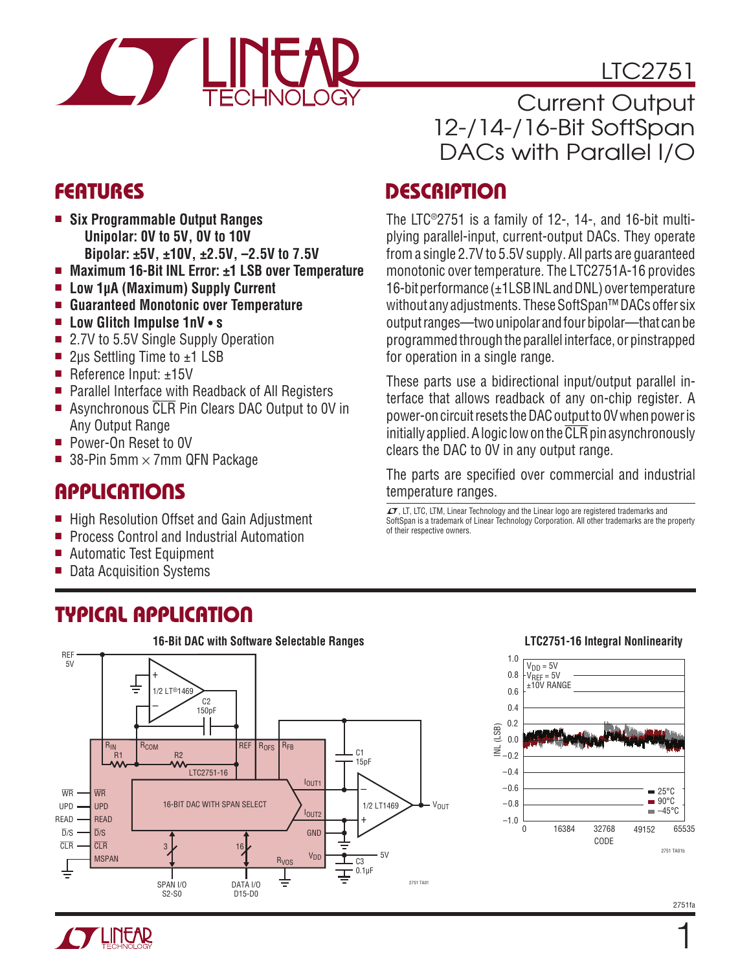

# LTC2751

Current Output 12-/14-/16-Bit SoftSpan DACs with Parallel I/O

### **FEATURES**

- Six Programmable Output Ranges  **Unipolar: 0V to 5V, 0V to 10VBipolar: ±5V, ±10V, ±2.5V, –2.5V to 7.5V**
- <sup>n</sup> **Maximum 16-Bit INL Error: ±1 LSB over Temperature**
- Low 1µA (Maximum) Supply Current
- <sup>n</sup> **Guaranteed Monotonic over Temperature**
- <sup>n</sup> **Low Glitch Impulse 1nV • s**
- 2.7V to 5.5V Single Supply Operation
- 2µs Settling Time to  $±1$  LSB
- Reference Input:  $±15V$
- $\blacksquare$  Parallel Interface with Readback of All Registers
- Asynchronous CLR Pin Clears DAC Output to 0V in Any Output Range
- Power-On Reset to 0V
- 38-Pin 5mm  $\times$  7mm QFN Package

### Applications

- High Resolution Offset and Gain Adjustment
- **Process Control and Industrial Automation**
- Automatic Test Equipment
- Data Acquisition Systems

### Typical Application

#### **16-Bit DAC with Software Selectable Ranges** REF 5V + 1/2 LT®1469 C<sub>2</sub> – 150pF  $R_{IN}$   $R_{COM}$ REF | R<sub>OFS</sub> | R<sub>FB</sub>  $C<sub>1</sub>$ R1 | R2 15pF LTC2751-16 IOUT1 – WR WR 16-BIT DAC WITH SPAN SELECT  $\Bigg\rangle_{\rm l_{\rm 0UT2}}$ 1/2 LT1469  $\rightarrow$   $\rightarrow$   $V_{\text{OUT}}$ UPD UPD  $\frac{1}{1}$ READ READ  $\overline{D}/S$  $\overline{D}/S$ **GND** CLR  $\overline{C}$ 3 16  $5V$ MSPAN V<sub>DD</sub> RVOS  $\overline{C3}$  $0.1 \mu F$ ╧ 2751 TA01 SPAN I/O DATA I/O S2-S0 D15-D0

## **DESCRIPTION**

The LTC®2751 is a family of 12-, 14-, and 16-bit multiplying parallel-input, current-output DACs. They operate from a single 2.7V to 5.5V supply. All parts are guaranteed monotonic over temperature. The LTC2751A-16 provides 16-bit performance (±1LSBINL and DNL) over temperature without any adjustments. These SoftSpan™ DACs offer six output ranges—two unipolar and four bipolar—that can be programmed through the parallel interface, or pinstrapped for operation in a single range.

These parts use a bidirectional input/output parallel interface that allows readback of any on-chip register. A power-on circuit resets the DAC output to 0V when power is initially applied. A logic low on the  $\overline{CLR}$  pin asynchronously clears the DAC to 0V in any output range.

The parts are specified over commercial and industrial temperature ranges.

 $I$ , LT, LTC, LTM, Linear Technology and the Linear logo are registered trademarks and SoftSpan is a trademark of Linear Technology Corporation. All other trademarks are the property of their respective owners.

#### **LTC2751-16 Integral Nonlinearity**



1

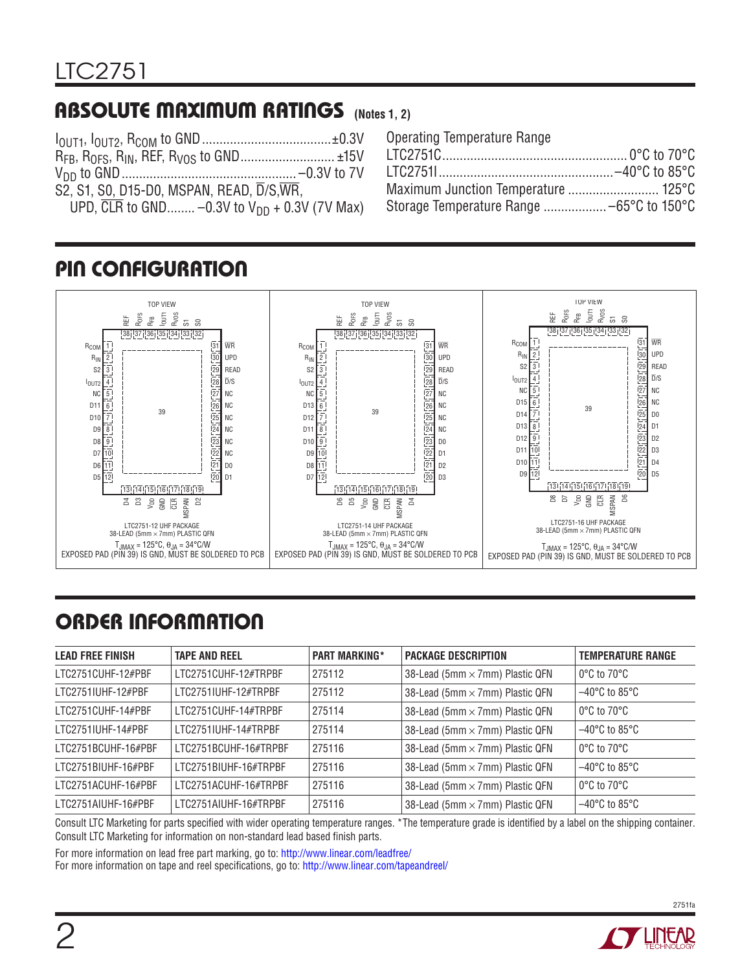### Absolute Maximum Ratings **(Notes 1, 2)**

| S2, S1, S0, D15-D0, MSPAN, READ, D/S, WR,                      |  |
|----------------------------------------------------------------|--|
| UPD, $\overline{CLR}$ to GND -0.3V to $V_{DD}$ + 0.3V (7V Max) |  |

| <b>Operating Temperature Range</b>  |  |
|-------------------------------------|--|
|                                     |  |
|                                     |  |
| Maximum Junction Temperature  125°C |  |
|                                     |  |

## Pin Configuration



# Order Information

| <b>LEAD FREE FINISH</b> | <b>TAPE AND REEL</b>  | <b>PART MARKING*</b> | <b>PACKAGE DESCRIPTION</b>      | <b>TEMPERATURE RANGE</b>           |
|-------------------------|-----------------------|----------------------|---------------------------------|------------------------------------|
| LTC2751CUHF-12#PBF      | LTC2751CUHF-12#TRPBF  | 275112               | 38-Lead (5mm × 7mm) Plastic QFN | $0^{\circ}$ C to 70 $^{\circ}$ C   |
| LTC2751IUHF-12#PBF      | LTC2751IUHF-12#TRPBF  | 275112               | 38-Lead (5mm × 7mm) Plastic QFN | $-40^{\circ}$ C to 85 $^{\circ}$ C |
| LTC2751CUHF-14#PBF      | LTC2751CUHF-14#TRPBF  | 275114               | 38-Lead (5mm × 7mm) Plastic QFN | $0^{\circ}$ C to 70 $^{\circ}$ C   |
| LTC2751IUHF-14#PBF      | LTC2751IUHF-14#TRPBF  | 275114               | 38-Lead (5mm × 7mm) Plastic QFN | $-40^{\circ}$ C to 85 $^{\circ}$ C |
| LTC2751BCUHF-16#PBF     | LTC2751BCUHF-16#TRPBF | 275116               | 38-Lead (5mm × 7mm) Plastic QFN | $0^{\circ}$ C to $70^{\circ}$ C    |
| LTC2751BIUHF-16#PBF     | LTC2751BIUHF-16#TRPBF | 275116               | 38-Lead (5mm × 7mm) Plastic QFN | $-40^{\circ}$ C to 85 $^{\circ}$ C |
| LTC2751ACUHF-16#PBF     | LTC2751ACUHF-16#TRPBF | 275116               | 38-Lead (5mm × 7mm) Plastic QFN | $0^{\circ}$ C to $70^{\circ}$ C    |
| LTC2751AIUHF-16#PBF     | LTC2751AIUHF-16#TRPBF | 275116               | 38-Lead (5mm × 7mm) Plastic QFN | $-40^{\circ}$ C to 85 $^{\circ}$ C |

Consult LTC Marketing for parts specified with wider operating temperature ranges. \*The temperature grade is identified by a label on the shipping container. Consult LTC Marketing for information on non-standard lead based finish parts.

For more information on lead free part marking, go to: http://www.linear.com/leadfree/

For more information on tape and reel specifications, go to: http://www.linear.com/tapeandreel/



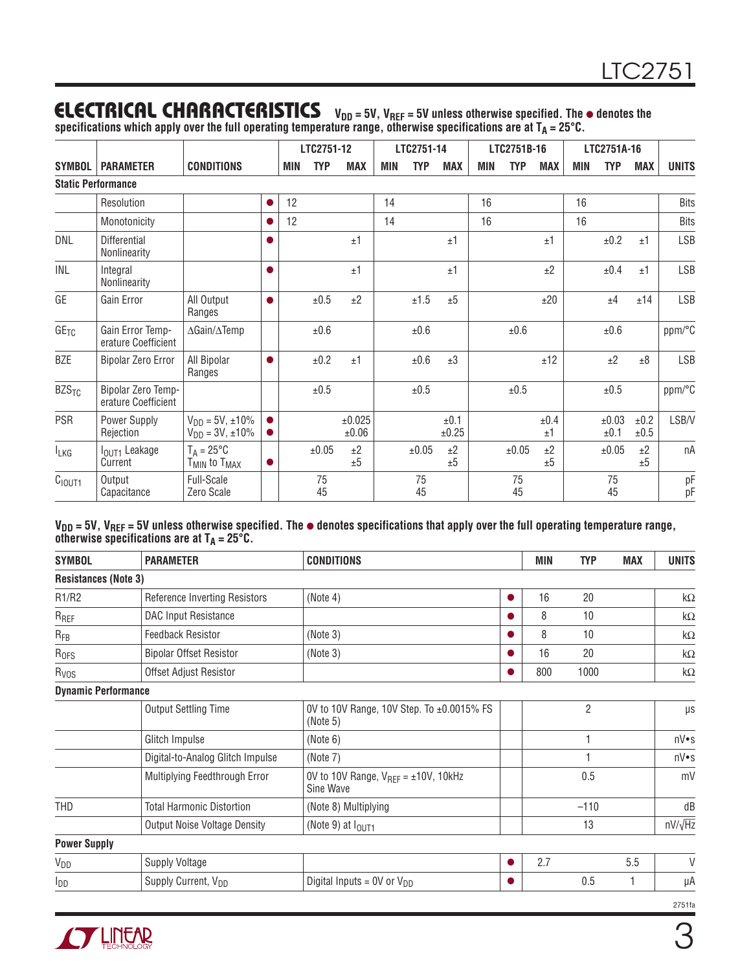#### **ELECTRICAL CHARACTERISTICS**  $V_{DD} = 5V$ ,  $V_{REF} = 5V$  unless otherwise specified. The  $\bullet$  denotes the  $s$ pecifications which apply over the full operating temperature range, otherwise specifications are at T $_{\sf A}$  = 25°C.

|                         |                                           |                                                             |                        |     | LTC2751-12 |                 |            | LTC2751-14 |               |            | LTC2751B-16 |            |            | LTC2751A-16   |              |              |
|-------------------------|-------------------------------------------|-------------------------------------------------------------|------------------------|-----|------------|-----------------|------------|------------|---------------|------------|-------------|------------|------------|---------------|--------------|--------------|
| <b>SYMBOL</b>           | <b>PARAMETER</b>                          | <b>CONDITIONS</b>                                           |                        | MIN | <b>TYP</b> | MAX             | <b>MIN</b> | <b>TYP</b> | <b>MAX</b>    | <b>MIN</b> | <b>TYP</b>  | <b>MAX</b> | <b>MIN</b> | <b>TYP</b>    | <b>MAX</b>   | <b>UNITS</b> |
|                         | <b>Static Performance</b>                 |                                                             |                        |     |            |                 |            |            |               |            |             |            |            |               |              |              |
|                         | Resolution                                |                                                             |                        | 12  |            |                 | 14         |            |               | 16         |             |            | 16         |               |              | <b>Bits</b>  |
|                         | Monotonicity                              |                                                             | 0                      | 12  |            |                 | 14         |            |               | 16         |             |            | 16         |               |              | <b>Bits</b>  |
| <b>DNL</b>              | Differential<br>Nonlinearity              |                                                             |                        |     |            | ±1              |            |            | ±1            |            |             | ±1         |            | ±0.2          | ±1           | <b>LSB</b>   |
| INL                     | Integral<br>Nonlinearity                  |                                                             |                        |     |            | ±1              |            |            | ±1            |            |             | ±2         |            | ±0.4          | ±1           | <b>LSB</b>   |
| GE                      | Gain Error                                | All Output<br>Ranges                                        | $\bullet$              |     | ±0.5       | ±2              |            | $\pm 1.5$  | ±5            |            |             | ±20        |            | ±4            | ±14          | <b>LSB</b>   |
| GE <sub>TC</sub>        | Gain Error Temp-<br>erature Coefficient   | $\Delta$ Gain/ $\Delta$ Temp                                |                        |     | $\pm 0.6$  |                 |            | $\pm 0.6$  |               |            | ±0.6        |            |            | $\pm 0.6$     |              | ppm/°C       |
| <b>BZE</b>              | <b>Bipolar Zero Error</b>                 | All Bipolar<br>Ranges                                       | $\bullet$              |     | ±0.2       | ±1              |            | $\pm 0.6$  | $\pm 3$       |            |             | ±12        |            | ±2            | ±8           | <b>LSB</b>   |
| <b>BZS<sub>TC</sub></b> | Bipolar Zero Temp-<br>erature Coefficient |                                                             |                        |     | $\pm 0.5$  |                 |            | $\pm 0.5$  |               |            | ±0.5        |            |            | ±0.5          |              | ppm/°C       |
| <b>PSR</b>              | Power Supply<br>Rejection                 | $V_{DD} = 5V, \pm 10\%$<br>$V_{DD} = 3V, \pm 10\%$          | $\bullet$<br>$\bullet$ |     |            | ±0.025<br>±0.06 |            |            | ±0.1<br>±0.25 |            |             | ±0.4<br>±1 |            | ±0.03<br>±0.1 | ±0.2<br>±0.5 | LSB/V        |
| $I_{LKG}$               | I <sub>OUT1</sub> Leakage<br>Current      | $T_A = 25^{\circ}C$<br>T <sub>MIN</sub> to T <sub>MAX</sub> |                        |     | ±0.05      | ±2<br>±5        |            | ±0.05      | ±2<br>±5      |            | ±0.05       | ±2<br>±5   |            | ±0.05         | ±2<br>±5     | nA           |
| C <sub>IOUT1</sub>      | Output<br>Capacitance                     | Full-Scale<br>Zero Scale                                    |                        |     | 75<br>45   |                 |            | 75<br>45   |               |            | 75<br>45    |            |            | 75<br>45      |              | pF<br>pF     |

V<sub>DD</sub> = 5V, V<sub>REF</sub> = 5V unless otherwise specified. The  $\bullet$  denotes specifications that apply over the full operating temperature range, **otherwise specifications are at TA = 25°C.** 

| SYMBOL                      | <b>PARAMETER</b>                    | <b>CONDITIONS</b>                                         | <b>MIN</b> | <b>TYP</b>     | <b>MAX</b> | <b>UNITS</b> |                |
|-----------------------------|-------------------------------------|-----------------------------------------------------------|------------|----------------|------------|--------------|----------------|
| <b>Resistances (Note 3)</b> |                                     |                                                           |            |                |            |              |                |
| R1/R2                       | Reference Inverting Resistors       | (Note 4)                                                  | $\bullet$  | 16             | 20         |              | k $\Omega$     |
| $R_{REF}$                   | DAC Input Resistance                |                                                           |            | 8              | 10         |              | k $\Omega$     |
| $R_{FB}$                    | <b>Feedback Resistor</b>            | (Note 3)                                                  |            | 8              | 10         |              | k $\Omega$     |
| R <sub>OFS</sub>            | <b>Bipolar Offset Resistor</b>      | (Note 3)                                                  |            | 16             | 20         |              | k $\Omega$     |
| R <sub>VOS</sub>            | Offset Adjust Resistor              |                                                           |            | 800            | 1000       |              | k $\Omega$     |
| <b>Dynamic Performance</b>  |                                     |                                                           |            |                |            |              |                |
|                             | Output Settling Time                | 0V to 10V Range, 10V Step. To ±0.0015% FS<br>(Note 5)     |            | $\overline{2}$ |            |              | μs             |
|                             | Glitch Impulse                      | (Note 6)                                                  |            |                | 1          |              | nV•s           |
|                             | Digital-to-Analog Glitch Impulse    | (Note 7)                                                  |            | 1              |            |              | nV•s           |
|                             | Multiplying Feedthrough Error       | OV to 10V Range, $V_{REF} = \pm 10V$ , 10kHz<br>Sine Wave |            |                | 0.5        |              | mV             |
| THD                         | <b>Total Harmonic Distortion</b>    | (Note 8) Multiplying                                      |            |                | $-110$     |              | dB             |
|                             | <b>Output Noise Voltage Density</b> | (Note 9) at $I_{OUT1}$                                    |            |                | 13         |              | $nV/\sqrt{Hz}$ |
| <b>Power Supply</b>         |                                     |                                                           |            |                |            |              |                |
| V <sub>DD</sub>             | <b>Supply Voltage</b>               |                                                           |            | 2.7            |            | 5.5          | V              |
| l <sub>DD</sub>             | Supply Current, V <sub>DD</sub>     | Digital Inputs = $0V$ or $V_{DD}$                         |            |                | 0.5        | 1            | μA             |
|                             |                                     |                                                           |            |                |            |              | 2751fa         |

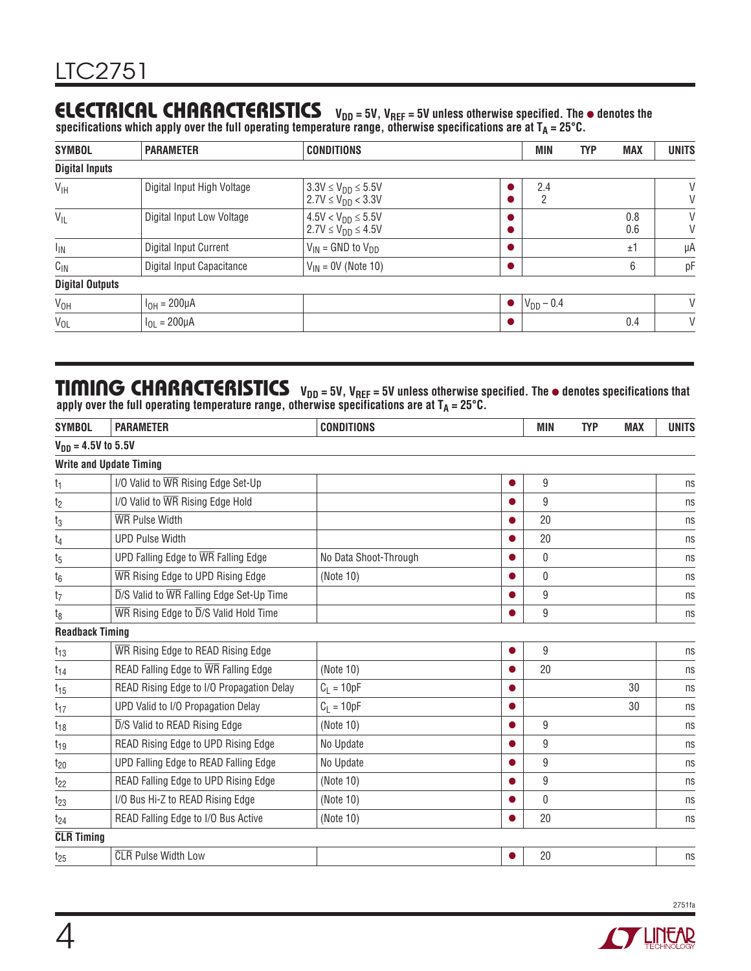### **ELECTRICAL CHARACTERISTICS**  $V_{DD} = 5V$ ,  $V_{REF} = 5V$  unless otherwise specified. The  $\bullet$  denotes the

 $s$ pecifications which apply over the full operating temperature range, otherwise specifications are at T $_{\sf A}$  = 25°C.

| <b>SYMBOL</b>          | <b>PARAMETER</b>           | <b>CONDITIONS</b>                                      | <b>MIN</b>     | <b>TYP</b> | <b>MAX</b> | <b>UNITS</b> |
|------------------------|----------------------------|--------------------------------------------------------|----------------|------------|------------|--------------|
| <b>Digital Inputs</b>  |                            |                                                        |                |            |            |              |
| $V_{\text{IH}}$        | Digital Input High Voltage | $3.3V \le V_{DD} \le 5.5V$<br>$2.7V \le V_{DD} < 3.3V$ | 2.4<br>റ<br>∠  |            |            | V<br>V       |
| $V_{IL}$               | Digital Input Low Voltage  | $4.5V < V_{DD} \le 5.5V$<br>$2.7V \le V_{DD} \le 4.5V$ |                |            | 0.8<br>0.6 | V<br>V       |
| <sub>IIN</sub>         | Digital Input Current      | $V_{IN}$ = GND to $V_{DD}$                             |                |            | ±1         | μA           |
| $C_{1N}$               | Digital Input Capacitance  | $V_{IN}$ = 0V (Note 10)                                |                |            | 6          | pF           |
| <b>Digital Outputs</b> |                            |                                                        |                |            |            |              |
| V <sub>OH</sub>        | $I_{OH} = 200 \mu A$       |                                                        | $V_{DD} - 0.4$ |            |            | V            |
| $V_{OL}$               | $I_{OL} = 200 \mu A$       |                                                        |                |            | 0.4        | V            |

### TIMING CHARACTERISTICS V<sub>DD</sub> = 5V, V<sub>REF</sub> = 5V unless otherwise specified. The  $\bullet$  denotes specifications that apply over the full operating temperature range, otherwise specifications are at  $T_\mathsf{A}$  = 25°C.

| <b>PARAMETER</b>                                                   | <b>CONDITIONS</b>       |   | <b>TYP</b> | <b>MAX</b>                                                                                               | <b>UNITS</b> |
|--------------------------------------------------------------------|-------------------------|---|------------|----------------------------------------------------------------------------------------------------------|--------------|
|                                                                    |                         |   |            |                                                                                                          |              |
| <b>Write and Update Timing</b>                                     |                         |   |            |                                                                                                          |              |
| I/O Valid to WR Rising Edge Set-Up                                 |                         |   |            |                                                                                                          | ns           |
| I/O Valid to WR Rising Edge Hold                                   |                         |   |            |                                                                                                          | ns           |
| <b>WR</b> Pulse Width                                              |                         |   |            |                                                                                                          | ns           |
| <b>UPD Pulse Width</b>                                             |                         |   |            |                                                                                                          | ns           |
| UPD Falling Edge to WR Falling Edge                                | No Data Shoot-Through   |   |            |                                                                                                          | ns           |
| WR Rising Edge to UPD Rising Edge                                  | (Note 10)               | O |            |                                                                                                          | ns           |
| $\overline{D}/S$ Valid to $\overline{WR}$ Falling Edge Set-Up Time |                         |   |            |                                                                                                          | ns           |
| WR Rising Edge to D/S Valid Hold Time                              |                         |   |            |                                                                                                          | ns           |
| <b>Readback Timing</b>                                             |                         |   |            |                                                                                                          |              |
| WR Rising Edge to READ Rising Edge                                 |                         | 0 |            |                                                                                                          | ns           |
| READ Falling Edge to WR Falling Edge                               | (Note 10)               |   |            |                                                                                                          | ns           |
| READ Rising Edge to I/O Propagation Delay                          | $C_L = 10pF$            |   |            | 30                                                                                                       | ns           |
| UPD Valid to I/O Propagation Delay                                 | $C_L = 10pF$            | O |            | 30                                                                                                       | ns           |
| D/S Valid to READ Rising Edge                                      | (Note 10)               | O |            |                                                                                                          | ns           |
| READ Rising Edge to UPD Rising Edge                                | No Update               | O |            |                                                                                                          | ns           |
| UPD Falling Edge to READ Falling Edge                              | No Update               |   |            |                                                                                                          | ns           |
| READ Falling Edge to UPD Rising Edge                               | (Note 10)               |   |            |                                                                                                          | ns           |
| I/O Bus Hi-Z to READ Rising Edge                                   | (Note 10)               |   |            |                                                                                                          | ns           |
| READ Falling Edge to I/O Bus Active                                | (Note 10)               |   |            |                                                                                                          | ns           |
|                                                                    |                         |   |            |                                                                                                          |              |
| <b>CLR</b> Pulse Width Low                                         |                         |   |            |                                                                                                          | ns           |
|                                                                    | $V_{DD} = 4.5V$ to 5.5V |   |            | MIN<br>9<br>9<br>20<br>20<br>$\mathbf{0}$<br>0<br>9<br>9<br>9<br>20<br>9<br>9<br>9<br>9<br>0<br>20<br>20 |              |

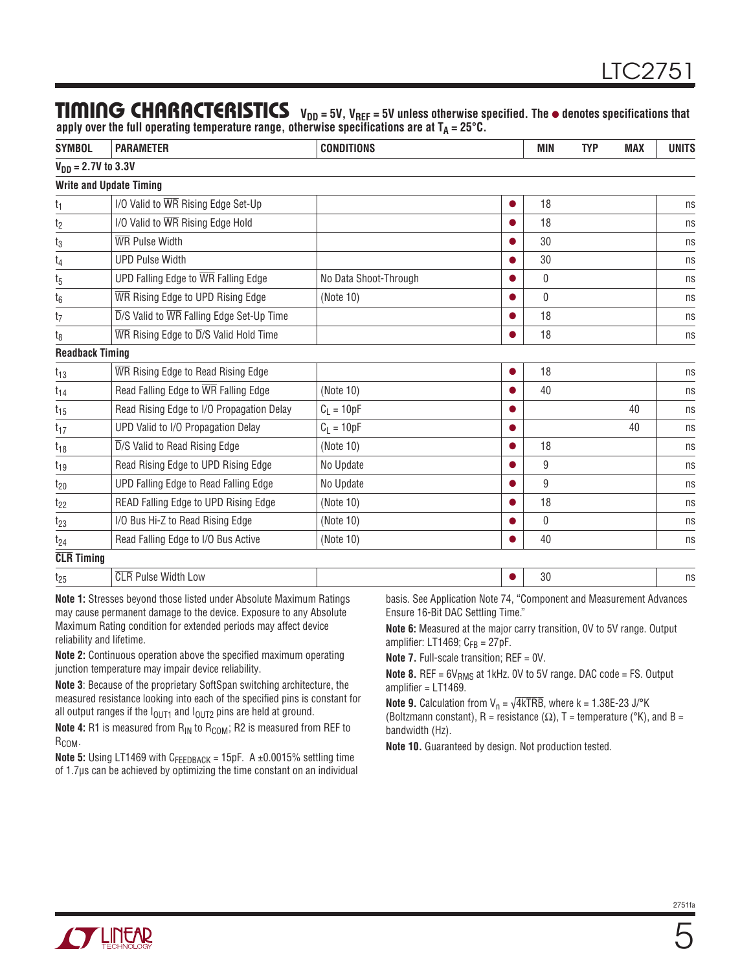#### TIMING CHARACTERISTICS V<sub>DD</sub> = 5V, V<sub>REF</sub> = 5V unless otherwise specified. The  $\bullet$  denotes specifications that apply over the full operating temperature range, otherwise specifications are at  $T_\mathsf{A}$  = 25°C.

| <b>SYMBOL</b>           | <b>PARAMETER</b>                                 | <b>CONDITIONS</b>     | MIN | <b>TYP</b> | <b>MAX</b> | <b>UNITS</b> |
|-------------------------|--------------------------------------------------|-----------------------|-----|------------|------------|--------------|
| $V_{DD} = 2.7V$ to 3.3V |                                                  |                       |     |            |            |              |
|                         | <b>Write and Update Timing</b>                   |                       |     |            |            |              |
| $t_1$                   | I/O Valid to WR Rising Edge Set-Up               |                       | 18  |            |            | ns           |
| t <sub>2</sub>          | I/O Valid to WR Rising Edge Hold                 |                       | 18  |            |            | ns           |
| $t_3$                   | WR Pulse Width                                   |                       | 30  |            |            | ns           |
| $t_4$                   | <b>UPD Pulse Width</b>                           |                       | 30  |            |            | ns           |
| $t_{5}$                 | UPD Falling Edge to $\overline{WR}$ Falling Edge | No Data Shoot-Through | 0   |            |            | ns           |
| $t_6$                   | WR Rising Edge to UPD Rising Edge                | (Note 10)             | 0   |            |            | ns           |
| t <sub>7</sub>          | D/S Valid to WR Falling Edge Set-Up Time         |                       | 18  |            |            | ns           |
| t <sub>8</sub>          | WR Rising Edge to D/S Valid Hold Time            |                       | 18  |            |            | ns           |
| <b>Readback Timing</b>  |                                                  |                       |     |            |            |              |
| $t_{13}$                | WR Rising Edge to Read Rising Edge               |                       | 18  |            |            | ns           |
| $t_{14}$                | Read Falling Edge to WR Falling Edge             | (Note 10)             | 40  |            |            | ns           |
| $t_{15}$                | Read Rising Edge to I/O Propagation Delay        | $C_L = 10pF$          |     |            | 40         | ns           |
| $t_{17}$                | UPD Valid to I/O Propagation Delay               | $C_L = 10pF$          |     |            | 40         | ns           |
| $t_{18}$                | D/S Valid to Read Rising Edge                    | (Note 10)             | 18  |            |            | ns           |
| $t_{19}$                | Read Rising Edge to UPD Rising Edge              | No Update             | 9   |            |            | ns           |
| $t_{20}$                | UPD Falling Edge to Read Falling Edge            | No Update             | 9   |            |            | ns           |
| $t_{22}$                | READ Falling Edge to UPD Rising Edge             | (Note 10)             | 18  |            |            | ns           |
| $t_{23}$                | I/O Bus Hi-Z to Read Rising Edge                 | (Note 10)             | 0   |            |            | ns           |
| $t_{24}$                | Read Falling Edge to I/O Bus Active              | (Note 10)             | 40  |            |            | ns           |
| <b>CLR</b> Timing       |                                                  |                       |     |            |            |              |
| $t_{25}$                | <b>CLR Pulse Width Low</b>                       |                       | 30  |            |            | ns           |

**Note 1:** Stresses beyond those listed under Absolute Maximum Ratings may cause permanent damage to the device. Exposure to any Absolute Maximum Rating condition for extended periods may affect device reliability and lifetime.

**Note 2:** Continuous operation above the specified maximum operating junction temperature may impair device reliability.

**Note 3**: Because of the proprietary SoftSpan switching architecture, the measured resistance looking into each of the specified pins is constant for all output ranges if the  $I_{\text{OUT1}}$  and  $I_{\text{OUT2}}$  pins are held at ground.

**Note 4:** R1 is measured from R<sub>IN</sub> to R<sub>COM</sub>; R2 is measured from REF to R<sub>COM</sub>.

**Note 5:** Using LT1469 with  $C_{\text{FEDBACK}} = 15pF$ . A ±0.0015% settling time of 1.7μs can be achieved by optimizing the time constant on an individual basis. See Application Note 74, "Component and Measurement Advances Ensure 16-Bit DAC Settling Time."

**Note 6:** Measured at the major carry transition, 0V to 5V range. Output amplifier: LT1469;  $C_{FB} = 27pF$ .

**Note 7.** Full-scale transition; REF = 0V.

**Note 8.** REF =  $6V<sub>RMS</sub>$  at 1kHz. 0V to 5V range. DAC code = FS. Output amplifier = LT1469.

**Note 9.** Calculation from  $V_n = \sqrt{4kTRB}$ , where k = 1.38E-23 J/°K (Boltzmann constant), R = resistance ( $\Omega$ ), T = temperature ( $\mathrm{°K}$ ), and B = bandwidth (Hz).

**Note 10.** Guaranteed by design. Not production tested.



5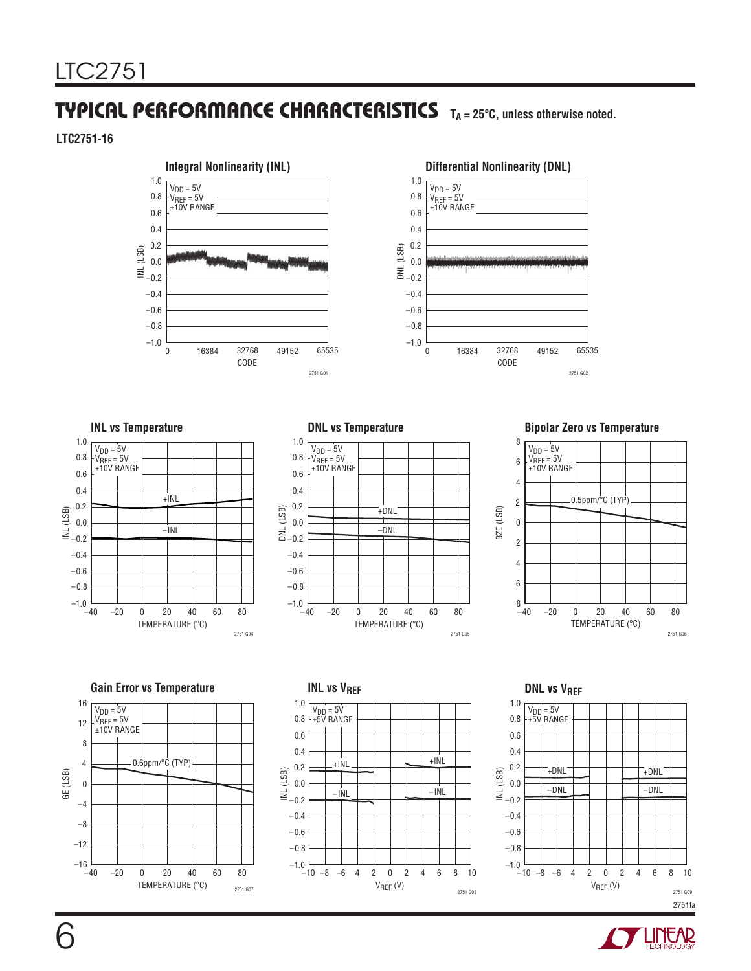### TYPICAL PERFORMANCE CHARACTERISTICS TA=25°C, unless otherwise noted.

**LTC2751-16**







#### **INL vs Temperature DNL vs Temperature Bipolar Zero vs Temperature**









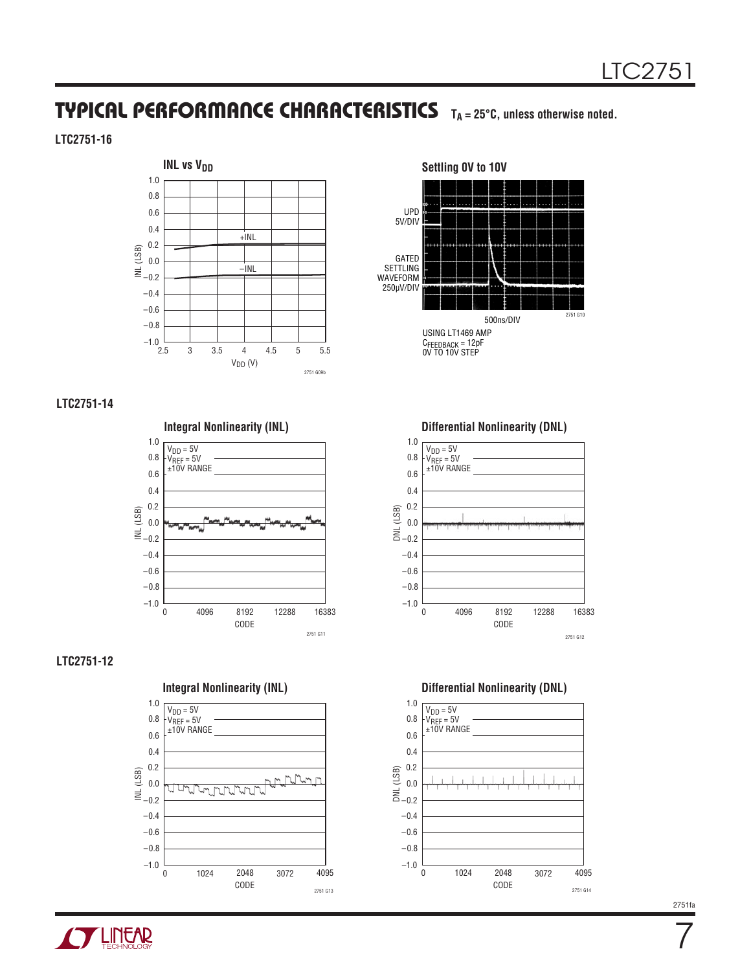### TYPICAL PERFORMANCE CHARACTERISTICS T<sub>A</sub> = 25°C, unless otherwise noted.

#### **LTC2751-16**



#### **LTC2751-14**



#### **LTC2751-12**





CODE 0 –1.0 ິສິງ<br>⊃= 0.0<br>ອ= −0.2 –0.8 –0.4 0.0 1.0 0.4 4096 8192 –0.6 0.6 0.8 0.2 12288 16383 2751 G12  $V<sub>DD</sub> = 5V$ V<sub>REF</sub> = 5V<br>±10V RANGE



**TUNEAR** 

7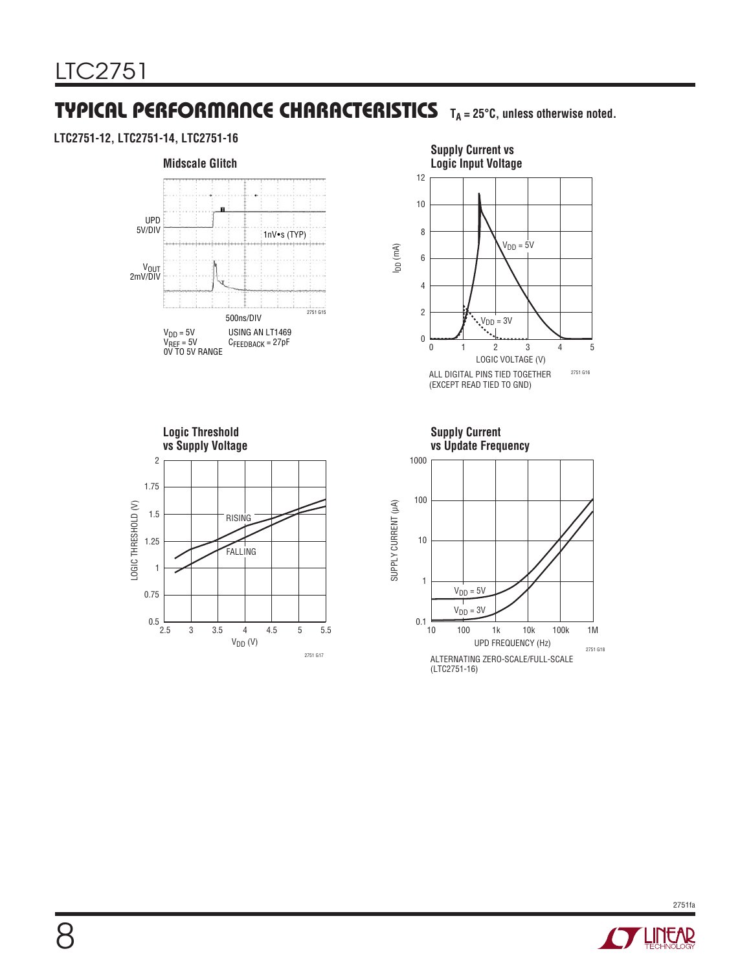### **TYPICAL PERFORMANCE CHARACTERISTICS** T<sub>A</sub> = 25°C, unless otherwise noted.

#### **LTC2751-12, LTC2751-14, LTC2751-16**









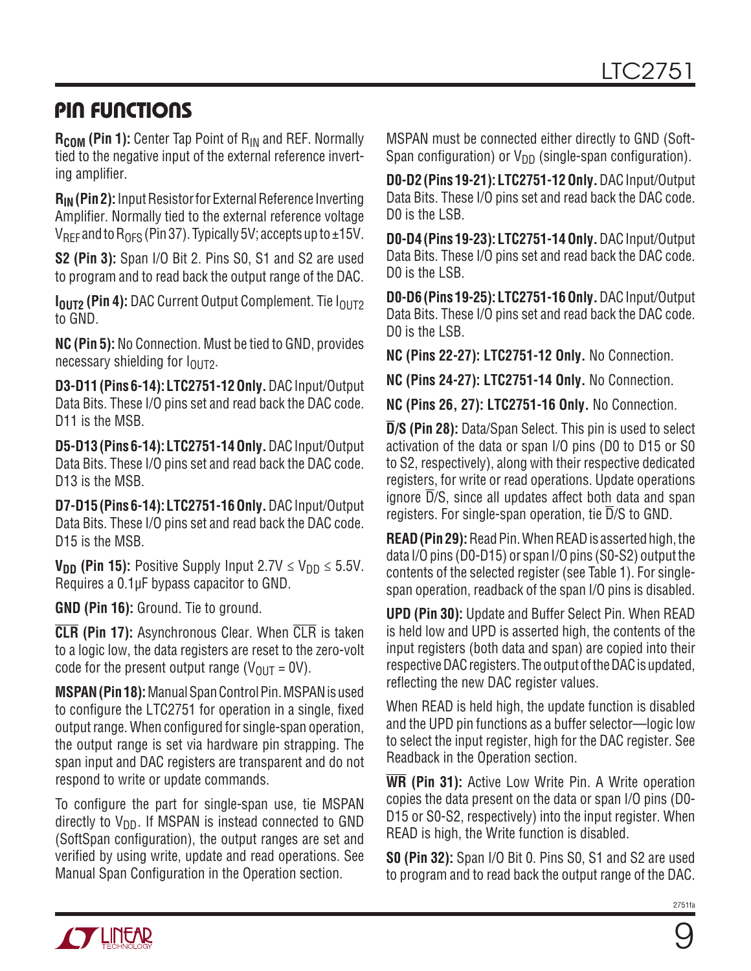### Pin Functions

**R<sub>COM</sub>** (Pin 1): Center Tap Point of R<sub>IN</sub> and REF. Normally tied to the negative input of the external reference inverting amplifier.

**R<sub>IN</sub>** (Pin 2): Input Resistor for External Reference Inverting Amplifier. Normally tied to the external reference voltage  $V_{\text{RFF}}$  and to R<sub>OFS</sub> (Pin 37). Typically 5V; accepts up to  $\pm 15V$ .

**S2 (Pin 3):** Span I/O Bit 2. Pins S0, S1 and S2 are used to program and to read back the output range of the DAC.

**I<sub>OUT2</sub> (Pin 4):** DAC Current Output Complement. Tie I<sub>OUT2</sub> to GND.

**NC (Pin 5):** No Connection. Must be tied to GND, provides necessary shielding for  $I_{\Omega I}$ <sub>172</sub>.

**D3-D11 (Pins 6-14): LTC2751-12 Only.**DACInput/Output Data Bits. These I/O pins set and read back the DAC code. D<sub>11</sub> is the MSB.

**D5-D13 (Pins 6-14): LTC2751-14 Only.**DACInput/Output Data Bits. These I/O pins set and read back the DAC code. D13 is the MSB.

**D7-D15 (Pins 6-14): LTC2751-16 Only.**DACInput/Output Data Bits. These I/O pins set and read back the DAC code. D15 is the MSB.

**V<sub>DD</sub>** (Pin 15): Positive Supply Input 2.7V  $\leq$  V<sub>DD</sub>  $\leq$  5.5V. Requires a 0.1µF bypass capacitor to GND.

**GND (Pin 16):** Ground. Tie to ground.

**CLR (Pin 17):** Asynchronous Clear. When CLR is taken to a logic low, the data registers are reset to the zero-volt code for the present output range  $(V_{OIII} = 0V)$ .

**MSPAN (Pin 18):** Manual Span Control Pin. MSPAN is used to configure the LTC2751 for operation in a single, fixed output range. When configured for single-span operation, the output range is set via hardware pin strapping. The span input and DAC registers are transparent and do not respond to write or update commands.

To configure the part for single-span use, tie MSPAN directly to  $V_{DD}$ . If MSPAN is instead connected to GND (SoftSpan configuration), the output ranges are set and verified by using write, update and read operations. See Manual Span Configuration in the Operation section.

MSPAN must be connected either directly to GND (Soft-Span configuration) or  $V_{DD}$  (single-span configuration).

**D0-D2 (Pins 19-21): LTC2751-12 Only.**DACInput/Output Data Bits. These I/O pins set and read back the DAC code. D0 is the LSB.

**D0-D4 (Pins 19-23): LTC2751-14 Only.** DACInput/Output Data Bits. These I/O pins set and read back the DAC code. D0 is the LSB.

**D0-D6 (Pins 19-25): LTC2751-16 Only.**DACInput/Output Data Bits. These I/O pins set and read back the DAC code. D0 is the LSB.

**NC (Pins 22-27): LTC2751-12 Only.** No Connection.

**NC (Pins 24-27): LTC2751-14 Only.** No Connection.

**NC (Pins 26, 27): LTC2751-16 Only.** No Connection.

**D/S (Pin 28):** Data/Span Select. This pin is used to select activation of the data or span I/O pins (D0 to D15 or S0 to S2, respectively), along with their respective dedicated registers, for write or read operations. Update operations ignore  $\overline{D}/S$ , since all updates affect both data and span registers. For single-span operation, tie D/S to GND.

**READ (Pin 29):** Read Pin. When READ is asserted high, the data I/O pins (D0-D15) or span I/O pins (S0-S2) output the contents of the selected register (see Table 1). For singlespan operation, readback of the span I/O pins is disabled.

**UPD (Pin 30):** Update and Buffer Select Pin. When READ is held low and UPD is asserted high, the contents of the input registers (both data and span) are copied into their respective DAC registers. The output of the DAC is updated, reflecting the new DAC register values.

When READ is held high, the update function is disabled and the UPD pin functions as a buffer selector—logic low to select the input register, high for the DAC register. See Readback in the Operation section.

**WR (Pin 31):** Active Low Write Pin. A Write operation copies the data present on the data or span I/O pins (D0- D15 or S0-S2, respectively) into the input register. When READ is high, the Write function is disabled.

**S0 (Pin 32):** Span I/O Bit 0. Pins S0, S1 and S2 are used to program and to read back the output range of the DAC.

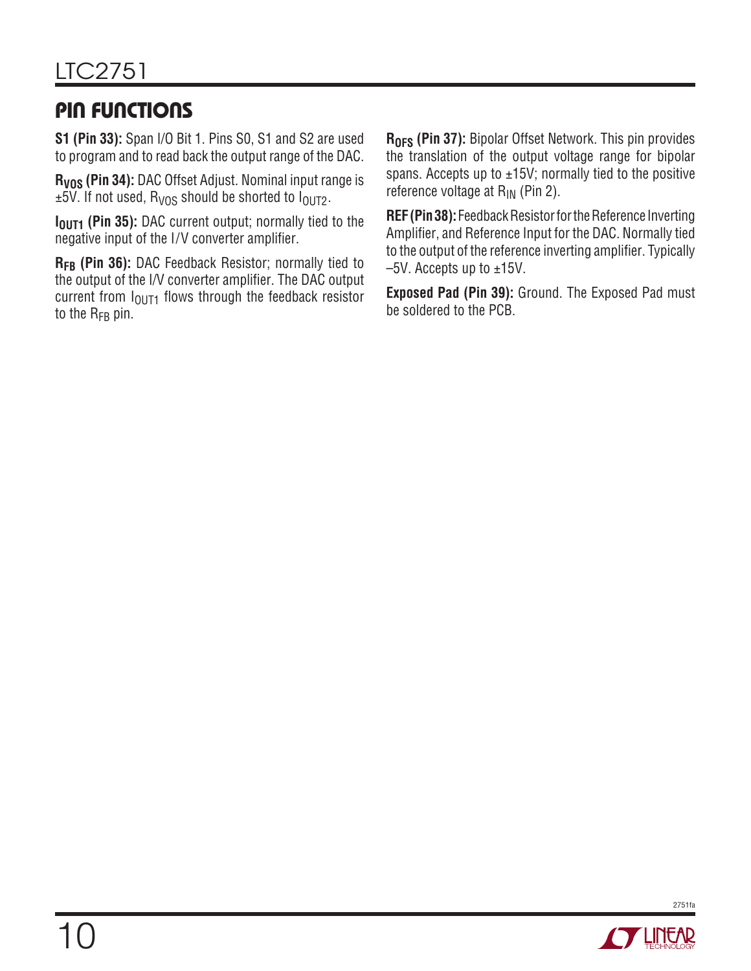## Pin Functions

**S1 (Pin 33):** Span I/O Bit 1. Pins S0, S1 and S2 are used to program and to read back the output range of the DAC.

**RVOS (Pin 34):** DAC Offset Adjust. Nominal input range is  $\pm$ 5V. If not used, R<sub>VOS</sub> should be shorted to  $I<sub>OUT2</sub>$ .

**I<sub>OUT1</sub>** (Pin 35): DAC current output; normally tied to the negative input of the I/V converter amplifier.

**RFB (Pin 36):** DAC Feedback Resistor; normally tied to the output of the I/V converter amplifier. The DAC output current from  $I<sub>QUT1</sub>$  flows through the feedback resistor to the  $R_{FB}$  pin.

**R<sub>OFS</sub> (Pin 37):** Bipolar Offset Network. This pin provides the translation of the output voltage range for bipolar spans. Accepts up to  $\pm$ 15V; normally tied to the positive reference voltage at  $R_{IN}$  (Pin 2).

**REF (Pin 38):** Feedback Resistor for the Reference Inverting Amplifier, and Reference Input for the DAC. Normally tied to the output of the reference inverting amplifier. Typically  $-5V$ . Accepts up to  $\pm 15V$ .

**Exposed Pad (Pin 39):** Ground. The Exposed Pad must be soldered to the PCB.

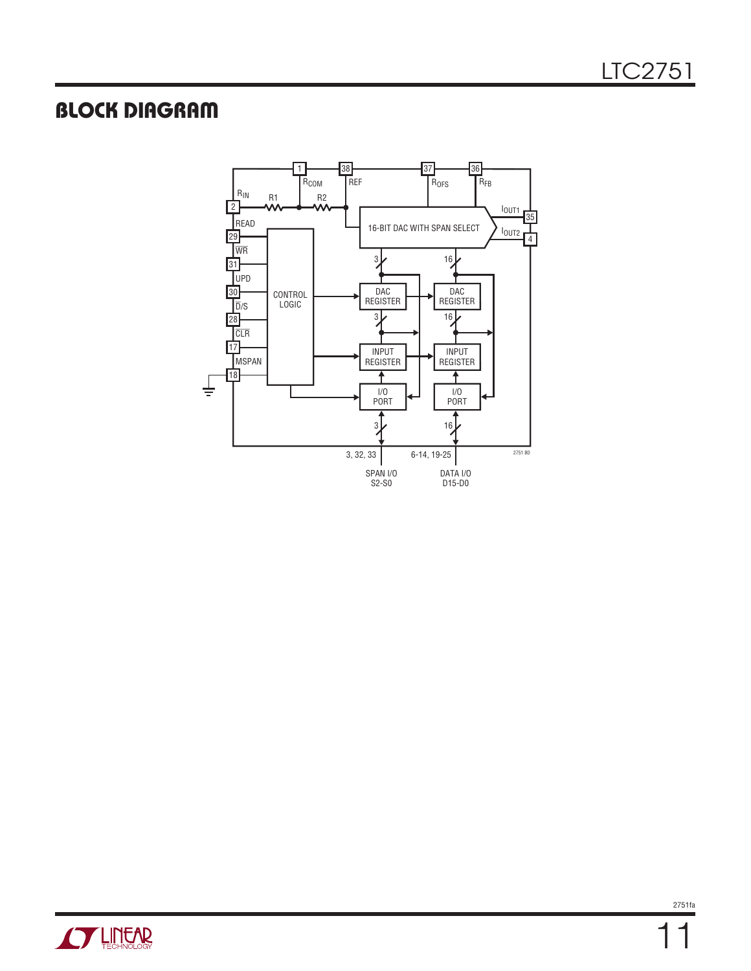### Block Diagram



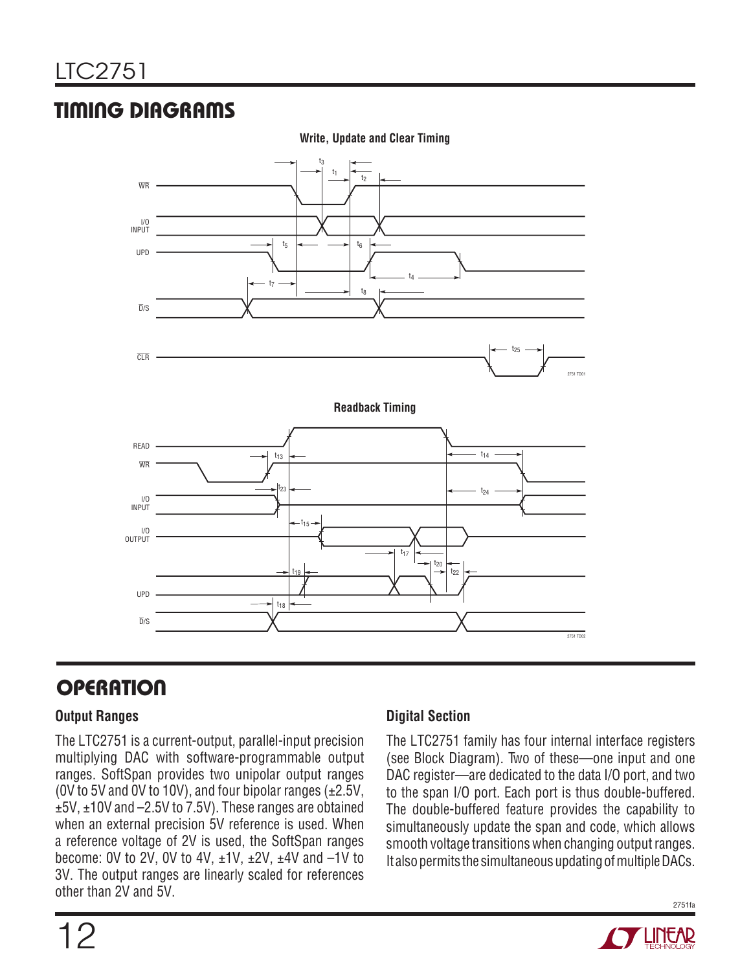## Timing Diagrams



#### **Write, Update and Clear Timing**

### **OPERATION**

### **Output Ranges**

The LTC2751 is a current-output, parallel-input precision multiplying DAC with software-programmable output ranges. SoftSpan provides two unipolar output ranges (0V to 5V and 0V to 10V), and four bipolar ranges (±2.5V, ±5V, ±10V and –2.5V to 7.5V). These ranges are obtained when an external precision 5V reference is used. When a reference voltage of 2V is used, the SoftSpan ranges become: 0V to 2V, 0V to 4V,  $\pm$ 1V,  $\pm$ 2V,  $\pm$ 4V and  $-1$ V to 3V. The output ranges are linearly scaled for references other than 2V and 5V.

#### **Digital Section**

The LTC2751 family has four internal interface registers (see Block Diagram). Two of these—one input and one DAC register—are dedicated to the data I/O port, and two to the span I/O port. Each port is thus double-buffered. The double-buffered feature provides the capability to simultaneously update the span and code, which allows smooth voltage transitions when changing output ranges. It also permits the simultaneous updating of multiple DACs.



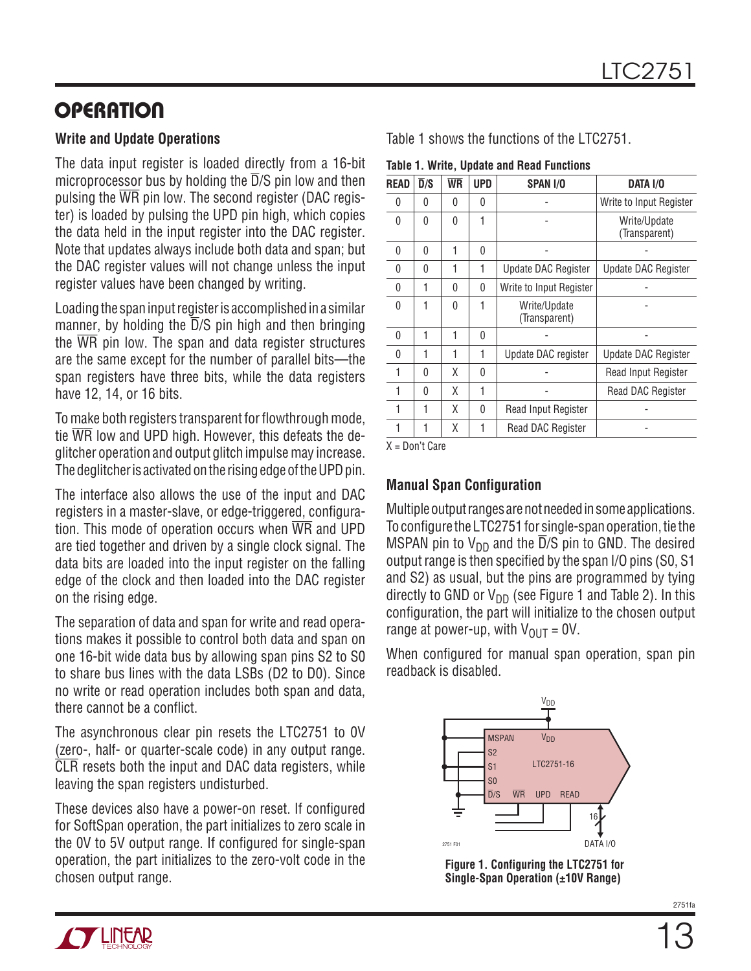### **OPERATION**

#### **Write and Update Operations**

The data input register is loaded directly from a 16-bit microprocessor bus by holding the  $\overline{D}/S$  pin low and then pulsing the  $\overline{WR}$  pin low. The second register (DAC register) is loaded by pulsing the UPD pin high, which copies the data held in the input register into the DAC register. Note that updates always include both data and span; but the DAC register values will not change unless the input register values have been changed by writing.

Loading the span input register is accomplished in a similar manner, by holding the  $\overline{D}/S$  pin high and then bringing the  $\overline{WR}$  pin low. The span and data register structures are the same except for the number of parallel bits—the span registers have three bits, while the data registers have 12, 14, or 16 bits.

To make both registers transparent for flowthrough mode, tie WR low and UPD high. However, this defeats the deglitcher operation and output glitch impulse may increase. The deglitcher is activated on the rising edge of the UPD pin.

The interface also allows the use of the input and DAC registers in a master-slave, or edge-triggered, configuration. This mode of operation occurs when  $\overline{WR}$  and UPD are tied together and driven by a single clock signal. The data bits are loaded into the input register on the falling edge of the clock and then loaded into the DAC register on the rising edge.

The separation of data and span for write and read operations makes it possible to control both data and span on one 16-bit wide data bus by allowing span pins S2 to S0 to share bus lines with the data LSBs (D2 to D0). Since no write or read operation includes both span and data, there cannot be a conflict.

The asynchronous clear pin resets the LTC2751 to 0V (zero-, half- or quarter-scale code) in any output range. CLR resets both the input and DAC data registers, while leaving the span registers undisturbed.

These devices also have a power-on reset. If configured for SoftSpan operation, the part initializes to zero scale in the 0V to 5V output range. If configured for single-span operation, the part initializes to the zero-volt code in the chosen output range. **Figure 1. Configuring the LTC2751 for Single-Span Operation (±10V Range)**

Table 1 shows the functions of the LTC2751.

**Table 1. Write, Update and Read Functions**

| <b>READ</b> | $\overline{D}/S$ | <b>WR</b> | <b>UPD</b> | <b>SPAN I/O</b>               | DATA I/O                      |
|-------------|------------------|-----------|------------|-------------------------------|-------------------------------|
| 0           | U                | 0         | 0          |                               | Write to Input Register       |
| $\Omega$    | 0                | 0         | 1          |                               | Write/Update<br>(Transparent) |
| 0           | 0                | 1         | 0          |                               |                               |
| $\Omega$    | 0                | 1         | 1          | Update DAC Register           | Update DAC Register           |
| $\Omega$    | 1                | 0         | 0          | Write to Input Register       |                               |
| $\Omega$    | 1                | $\Omega$  | 1          | Write/Update<br>(Transparent) |                               |
| 0           | 1                | 1         | 0          |                               |                               |
| $\Omega$    | 1                | 1         | 1          | Update DAC register           | Update DAC Register           |
| 1           | $\Omega$         | Χ         | 0          |                               | Read Input Register           |
| 1           | <sup>0</sup>     | X         | 1          |                               | <b>Read DAC Register</b>      |
| 1           | 1                | Χ         | 0          | Read Input Register           |                               |
| 1           | 1                | χ         | 1          | Read DAC Register             |                               |
|             |                  |           |            |                               |                               |

X = Don't Care

### **Manual Span Configuration**

Multiple output ranges are not needed in some applications. To configure the LTC2751 for single-span operation, tie the MSPAN pin to  $V_{DD}$  and the  $\overline{D}/S$  pin to GND. The desired output range is then specified by the span I/O pins (S0, S1 and S2) as usual, but the pins are programmed by tying directly to GND or  $V_{DD}$  (see Figure 1 and Table 2). In this configuration, the part will initialize to the chosen output range at power-up, with  $V_{OUT} = 0V$ .

When configured for manual span operation, span pin readback is disabled.

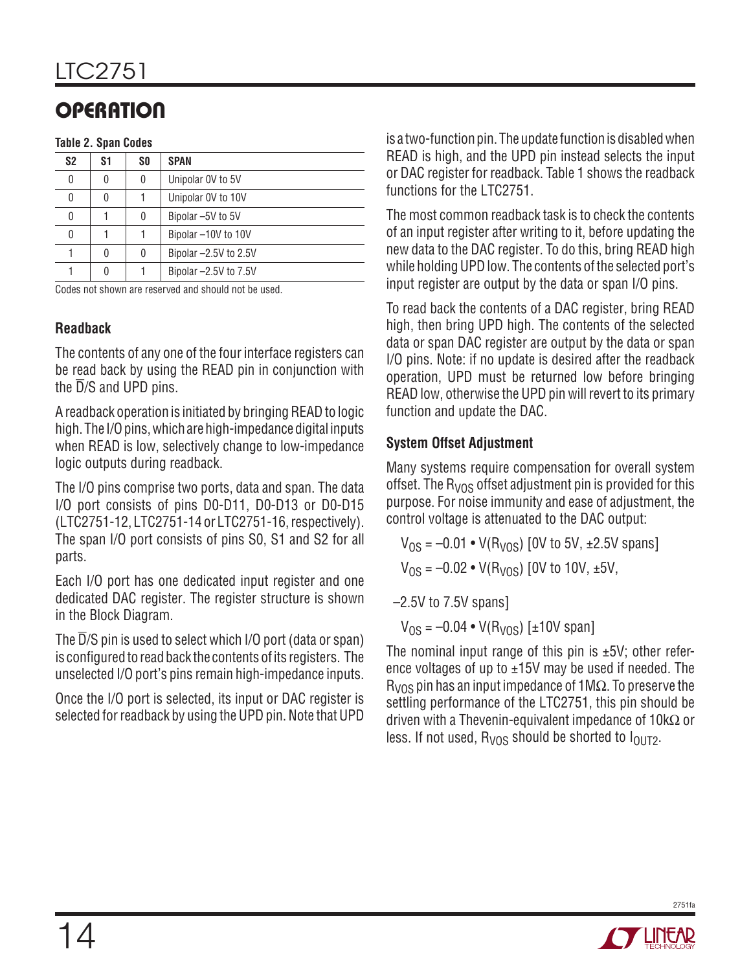# **OPERATION**

#### **Table 2. Span Codes**

| S <sub>2</sub> | S1 | SO. | <b>SPAN</b>             |
|----------------|----|-----|-------------------------|
| 0              | 0  | 0   | Unipolar 0V to 5V       |
| 0              | 0  |     | Unipolar OV to 10V      |
| 0              |    | 0   | Bipolar -5V to 5V       |
| 0              |    |     | Bipolar -10V to 10V     |
|                | 0  | 0   | Bipolar-2.5V to 2.5V    |
|                | 0  |     | Bipolar $-2.5V$ to 7.5V |

Codes not shown are reserved and should not be used.

### **Readback**

The contents of any one of the four interface registers can be read back by using the READ pin in conjunction with the  $\overline{D}/S$  and UPD pins.

A readback operation is initiated by bringing READ to logic high. The I/O pins, which are high-impedance digital inputs when READ is low, selectively change to low-impedance logic outputs during readback.

The I/O pins comprise two ports, data and span. The data I/O port consists of pins D0-D11, D0-D13 or D0-D15 (LTC2751-12, LTC2751-14 or LTC2751-16, respectively). The span I/O port consists of pins S0, S1 and S2 for all parts.

Each I/O port has one dedicated input register and one dedicated DAC register. The register structure is shown in the Block Diagram.

The D/S pin is used to select which I/O port (data or span) is configured to read back the contents of its registers. The unselected I/O port's pins remain high-impedance inputs.

Once the I/O port is selected, its input or DAC register is selected for readback by using the UPD pin. Note that UPD is a two-function pin. The update function is disabled when READ is high, and the UPD pin instead selects the input or DAC register for readback. Table 1 shows the readback functions for the LTC2751.

The most common readback task is to check the contents of an input register after writing to it, before updating the new data to the DAC register. To do this, bring READ high while holding UPD low. The contents of the selected port's input register are output by the data or span I/O pins.

To read back the contents of a DAC register, bring READ high, then bring UPD high. The contents of the selected data or span DAC register are output by the data or span I/O pins. Note: if no update is desired after the readback operation, UPD must be returned low before bringing READ low, otherwise the UPD pin will revert to its primary function and update the DAC.

### **System Offset Adjustment**

Many systems require compensation for overall system offset. The  $R<sub>VOS</sub>$  offset adjustment pin is provided for this purpose. For noise immunity and ease of adjustment, the control voltage is attenuated to the DAC output:

 $V_{OS} = -0.01 \cdot V(R_{VOS})$  [0V to 5V, ±2.5V spans]  $V_{OS} = -0.02 \cdot V(R_{VOS})$  [0V to 10V, ±5V,

–2.5V to 7.5V spans]

 $V_{OS} = -0.04 \cdot V(R_{VOS})$  [±10V span]

The nominal input range of this pin is  $\pm 5V$ ; other reference voltages of up to  $\pm$ 15V may be used if needed. The  $R<sub>VOS</sub>$  pin has an input impedance of 1M $\Omega$ . To preserve the settling performance of the LTC2751, this pin should be driven with a Thevenin-equivalent impedance of  $10k\Omega$  or less. If not used,  $R_{VOS}$  should be shorted to  $I_{OUT2}$ .

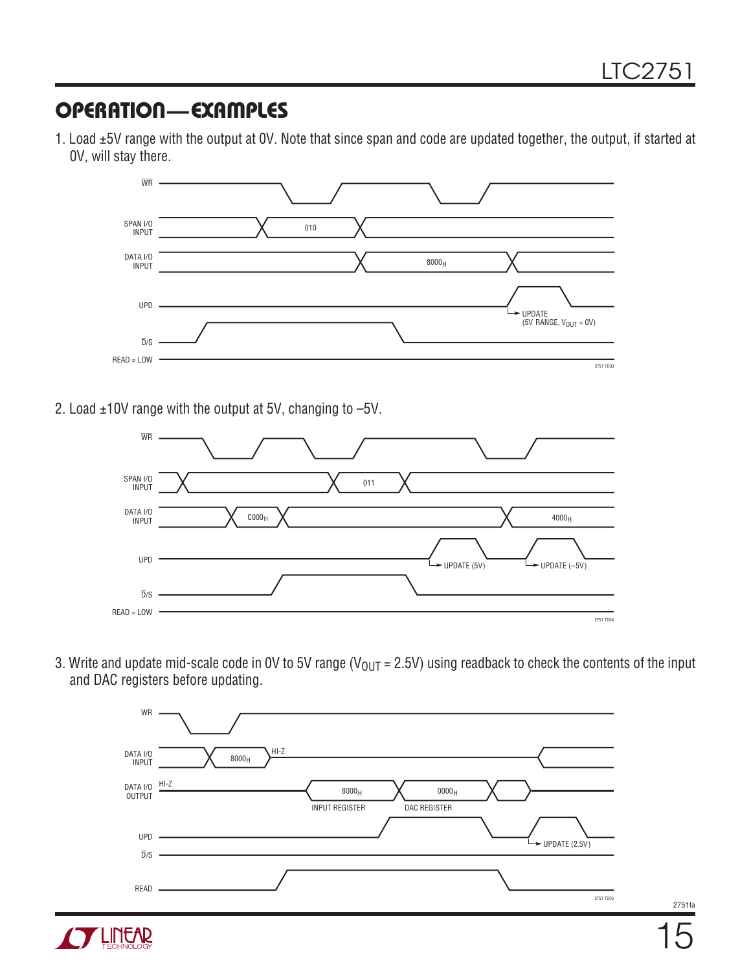### Operation—Examples

1. Load ±5V range with the output at 0V. Note that since span and code are updated together, the output, if started at 0V, will stay there.



2. Load ±10V range with the output at 5V, changing to –5V.

**LINEAR** 



3. Write and update mid-scale code in 0V to 5V range ( $V_{OUT} = 2.5V$ ) using readback to check the contents of the input and DAC registers before updating.



2751fa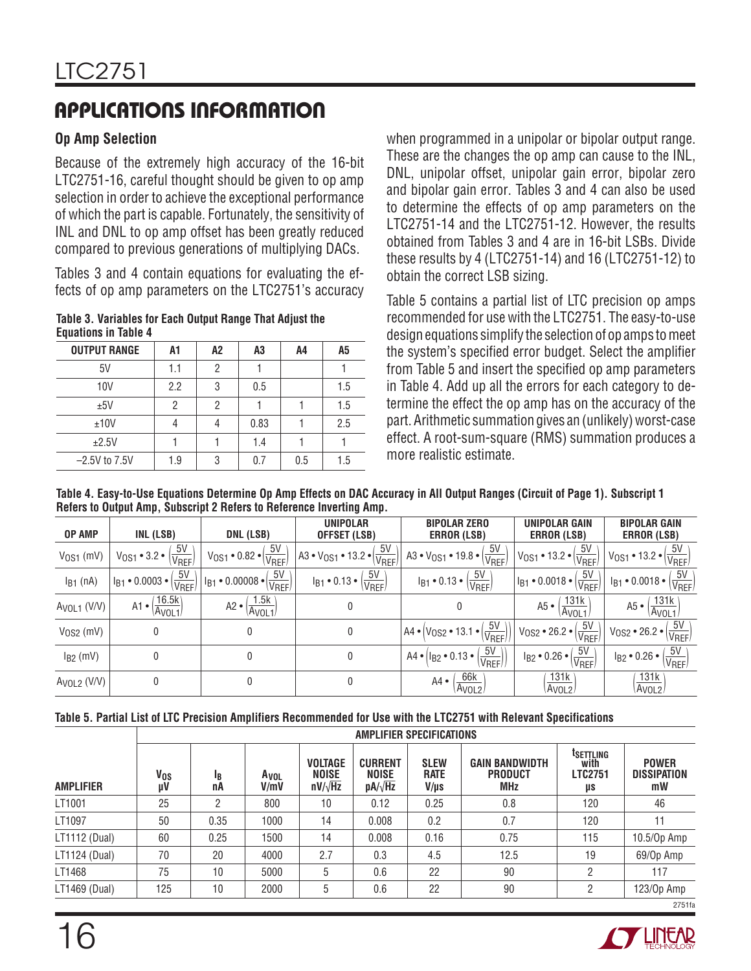# Applications Information

### **Op Amp Selection**

Because of the extremely high accuracy of the 16-bit LTC2751-16, careful thought should be given to op amp selection in order to achieve the exceptional performance of which the part is capable. Fortunately, the sensitivity of INL and DNL to op amp offset has been greatly reduced compared to previous generations of multiplying DACs.

Tables 3 and 4 contain equations for evaluating the effects of op amp parameters on the LTC2751's accuracy

**Table 3. Variables for Each Output Range That Adjust the Equations in Table 4**

| <b>OUTPUT RANGE</b> | A1  | A2 | A3   | A4  | A <sub>5</sub> |
|---------------------|-----|----|------|-----|----------------|
| 5V                  | 1.1 | 2  |      |     |                |
| 10V                 | 2.2 | 3  | 0.5  |     | 1.5            |
| ±5V                 | 2   | 2  |      |     | 1.5            |
| ±10V                |     |    | 0.83 |     | 2.5            |
| ±2.5V               |     |    | 1.4  |     |                |
| $-2.5V$ to 7.5V     | 1.9 | 3  | 0.7  | 0.5 | 1.5            |

when programmed in a unipolar or bipolar output range. These are the changes the op amp can cause to the INL, DNL, unipolar offset, unipolar gain error, bipolar zero and bipolar gain error. Tables 3 and 4 can also be used to determine the effects of op amp parameters on the LTC2751-14 and the LTC2751-12. However, the results obtained from Tables 3 and 4 are in 16-bit LSBs. Divide these results by 4 (LTC2751-14) and 16 (LTC2751-12) to obtain the correct LSB sizing.

Table 5 contains a partial list of LTC precision op amps recommended for use with the LTC2751. The easy-to-use design equations simplify the selection of op amps to meet the system's specified error budget. Select the amplifier from Table 5 and insert the specified op amp parameters in Table 4. Add up all the errors for each category to determine the effect the op amp has on the accuracy of the part. Arithmetic summation gives an (unlikely) worst-case effect. A root-sum-square (RMS) summation produces a more realistic estimate.

**Table 4. Easy-to-Use Equations Determine Op Amp Effects on DAC Accuracy in All Output Ranges (Circuit of Page 1). Subscript 1 Refers to Output Amp, Subscript 2 Refers to Reference Inverting Amp.**

| <b>OP AMP</b>                        | INL (LSB)                                               | DNL (LSB)                                                                                | <b>UNIPOLAR</b><br>OFFSET (LSB)                             | <b>BIPOLAR ZERO</b><br><b>ERROR (LSB)</b>                                | <b>UNIPOLAR GAIN</b><br><b>ERROR (LSB)</b>                 | <b>BIPOLAR GAIN</b><br><b>ERROR (LSB)</b>                 |
|--------------------------------------|---------------------------------------------------------|------------------------------------------------------------------------------------------|-------------------------------------------------------------|--------------------------------------------------------------------------|------------------------------------------------------------|-----------------------------------------------------------|
| $VOS1$ (mV)                          | 5V<br>$V_{0S1} \cdot 3.2 \cdot$<br>V <sub>REF</sub>     | $\frac{5V}{V_{REF}}$<br>$V_{OS1} \cdot 0.82 \cdot$                                       | $\frac{5V}{V_{REF}}$<br>$A3 \cdot V_{OS1} \cdot 13.2 \cdot$ | 5V<br>$A3 \cdot V_{OS1} \cdot 19.8 \cdot (\frac{1}{V_{REF}})$            | $\frac{5V}{V_{REF}}$<br>$V_{0S1} \cdot 13.2 \cdot$         | $\sqrt{\frac{5V}{V_{REF}}}$<br>$V_{OS1} \cdot 13.2 \cdot$ |
| $I_{B1}$ (nA)                        | $\underline{5V}$<br>$I_{B1} \cdot 0.0003 \cdot$<br>VREF | 5V<br>$^{\prime}$ l <sub>B1</sub> • 0.00008 • $ _{\bar{\mathrm{t}}}$<br>V <sub>REF</sub> | 5V<br>$I_{B1} \cdot 0.13 \cdot$<br>V <sub>REF</sub>         | 5V<br>$I_{B1} \cdot 0.13 \cdot 1$<br>V <sub>REF</sub>                    | $\sqrt{\frac{5V}{V_{REF}}}$<br>$1_{B1} \cdot 0.0018 \cdot$ | 5V<br>$I_{B1} \cdot 0.0018 \cdot  $<br>VREF               |
| A <sub>VOL1</sub> (V/V)              | 16.5k<br>$A1 \cdot$<br>Avol1                            | <u>1.5k</u><br>A2 •<br>A <sub>VOL1</sub>                                                 |                                                             |                                                                          | 131k<br>A5 •<br>Avol <sub>1</sub>                          | 131k<br>$A5 \bullet$<br>Avol <sub>1</sub>                 |
| $V$ <sub>0</sub> S <sub>2</sub> (mV) |                                                         | $\mathbf{0}$                                                                             | 0                                                           | $\underline{5V}$<br>$AA \cdot  V_{0S2} \cdot 13.1 \cdot  $<br>VREF       | $rac{5V}{2}$<br>$V_{0S2} \cdot 26.2 \cdot  $<br>VREF       | $V_{OS2}$ • 26.2 • $\left(\frac{5V}{V_{REF}}\right)$      |
| $I_{B2}$ (mV)                        |                                                         | 0                                                                                        | 0                                                           | $rac{5V}{4}$<br>$AA \cdot   I_{B2} \cdot 0.13 \cdot$<br>V <sub>REF</sub> | 5V<br>$I_{B2} \cdot 0.26 \cdot$<br>VREF                    | 5V<br>$I_{B2} \cdot 0.26 \cdot I$<br>VREF                 |
| Avol2 (V/V)                          |                                                         | 0                                                                                        |                                                             | <u>66k</u><br>$A4 \bullet$<br>A <sub>VOL2</sub>                          | 131k<br>Avol <sub>2</sub>                                  | 131k<br>Avol <sub>2</sub>                                 |

| Table 5. Partial List of LTC Precision Amplifiers Recommended for Use with the LTC2751 with Relevant Specifications |  |
|---------------------------------------------------------------------------------------------------------------------|--|
|---------------------------------------------------------------------------------------------------------------------|--|

|                  | AMPLIFIER SPECIFICATIONS |                      |              |                                                  |                                                  |                                    |                                                       |                                                       |                                          |
|------------------|--------------------------|----------------------|--------------|--------------------------------------------------|--------------------------------------------------|------------------------------------|-------------------------------------------------------|-------------------------------------------------------|------------------------------------------|
| <b>AMPLIFIER</b> | V <sub>os</sub><br>μV    | 1 <sub>B</sub><br>nА | Avol<br>V/mV | <b>VOLTAGE</b><br><b>NOISE</b><br>$nV/\sqrt{Hz}$ | <b>CURRENT</b><br><b>NOISE</b><br>$pA/\sqrt{Hz}$ | <b>SLEW</b><br><b>RATE</b><br>V/µs | <b>GAIN BANDWIDTH</b><br><b>PRODUCT</b><br><b>MHz</b> | <sup>t</sup> settling<br>with<br><b>LTC2751</b><br>μs | <b>POWER</b><br><b>DISSIPATION</b><br>mW |
| LT1001           | 25                       | ŋ                    | 800          | 10                                               | 0.12                                             | 0.25                               | 0.8                                                   | 120                                                   | 46                                       |
| LT1097           | 50                       | 0.35                 | 1000         | 14                                               | 0.008                                            | 0.2                                | 0.7                                                   | 120                                                   | 11                                       |
| LT1112 (Dual)    | 60                       | 0.25                 | 1500         | 14                                               | 0.008                                            | 0.16                               | 0.75                                                  | 115                                                   | 10.5/0p Amp                              |
| LT1124 (Dual)    | 70                       | 20                   | 4000         | 2.7                                              | 0.3                                              | 4.5                                | 12.5                                                  | 19                                                    | 69/0p Amp                                |
| LT1468           | 75                       | 10                   | 5000         | 5                                                | 0.6                                              | 22                                 | 90                                                    | 2                                                     | 117                                      |
| LT1469 (Dual)    | 125                      | 10                   | 2000         | 5                                                | 0.6                                              | 22                                 | 90                                                    | 2                                                     | 123/0p Amp                               |
|                  |                          |                      |              |                                                  |                                                  |                                    |                                                       |                                                       | 2751fa                                   |

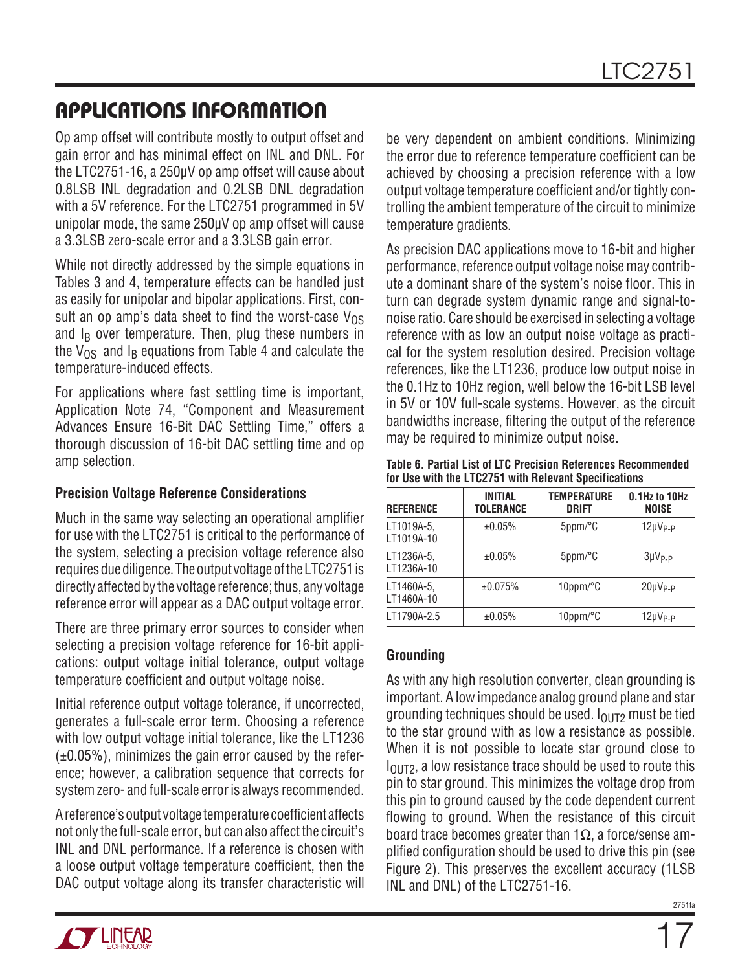## Applications Information

Op amp offset will contribute mostly to output offset and gain error and has minimal effect on INL and DNL. For the LTC2751-16, a 250µV op amp offset will cause about 0.8LSB INL degradation and 0.2LSB DNL degradation with a 5V reference. For the LTC2751 programmed in 5V unipolar mode, the same 250µV op amp offset will cause a 3.3LSB zero-scale error and a 3.3LSB gain error.

While not directly addressed by the simple equations in Tables 3 and 4, temperature effects can be handled just as easily for unipolar and bipolar applications. First, consult an op amp's data sheet to find the worst-case  $V_{OS}$ and  $I_B$  over temperature. Then, plug these numbers in the  $V_{OS}$  and  $I_B$  equations from Table 4 and calculate the temperature-induced effects.

For applications where fast settling time is important, Application Note 74, "Component and Measurement Advances Ensure 16-Bit DAC Settling Time," offers a thorough discussion of 16-bit DAC settling time and op amp selection.

#### **Precision Voltage Reference Considerations**

Much in the same way selecting an operational amplifier for use with the LTC2751 is critical to the performance of the system, selecting a precision voltage reference also requires due diligence. The output voltage of the LTC2751 is directly affected by the voltage reference; thus, any voltage reference error will appear as a DAC output voltage error.

There are three primary error sources to consider when selecting a precision voltage reference for 16-bit applications: output voltage initial tolerance, output voltage temperature coefficient and output voltage noise.

Initial reference output voltage tolerance, if uncorrected, generates a full-scale error term. Choosing a reference with low output voltage initial tolerance, like the LT1236  $(\pm 0.05\%)$ , minimizes the gain error caused by the reference; however, a calibration sequence that corrects for system zero- and full-scale error is always recommended.

A reference's output voltage temperature coefficient affects not only the full-scale error, but can also affect the circuit's INL and DNL performance. If a reference is chosen with a loose output voltage temperature coefficient, then the DAC output voltage along its transfer characteristic will

be very dependent on ambient conditions. Minimizing the error due to reference temperature coefficient can be achieved by choosing a precision reference with a low output voltage temperature coefficient and/or tightly controlling the ambient temperature of the circuit to minimize temperature gradients.

As precision DAC applications move to 16-bit and higher performance, reference output voltage noise may contribute a dominant share of the system's noise floor. This in turn can degrade system dynamic range and signal-tonoise ratio. Care should be exercised in selecting a voltage reference with as low an output noise voltage as practical for the system resolution desired. Precision voltage references, like the LT1236, produce low output noise in the 0.1Hz to 10Hz region, well below the 16-bit LSB level in 5V or 10V full-scale systems. However, as the circuit bandwidths increase, filtering the output of the reference may be required to minimize output noise.

**Table 6. Partial List of LTC Precision References Recommended for Use with the LTC2751 with Relevant Specifications**

| <b>REFERENCE</b>         | <b>INITIAL</b><br><b>TOLERANCE</b> | <b>TEMPERATURE</b><br><b>DRIFT</b> | 0.1Hz to 10Hz<br><b>NOISE</b> |
|--------------------------|------------------------------------|------------------------------------|-------------------------------|
| LT1019A-5,<br>LT1019A-10 | ±0.05%                             | 5ppm/°C                            | $12 \mu V_{P-P}$              |
| LT1236A-5,<br>LT1236A-10 | ±0.05%                             | 5ppm/°C                            | $3\mu V_{P-P}$                |
| LT1460A-5,<br>LT1460A-10 | ±0.075%                            | $10$ ppm/ $\degree$ C              | $20 \mu V_{P-P}$              |
| LT1790A-2.5              | ±0.05%                             | 10ppm/°C                           | $12\mu V_{P-P}$               |

### **Grounding**

As with any high resolution converter, clean grounding is important. A low impedance analog ground plane and star grounding techniques should be used.  $I<sub>OlIT2</sub>$  must be tied to the star ground with as low a resistance as possible. When it is not possible to locate star ground close to  $I<sub>OUT2</sub>$ , a low resistance trace should be used to route this pin to star ground. This minimizes the voltage drop from this pin to ground caused by the code dependent current flowing to ground. When the resistance of this circuit board trace becomes greater than  $1\Omega$ , a force/sense amplified configuration should be used to drive this pin (see Figure 2). This preserves the excellent accuracy (1LSB INL and DNL) of the LTC2751-16.

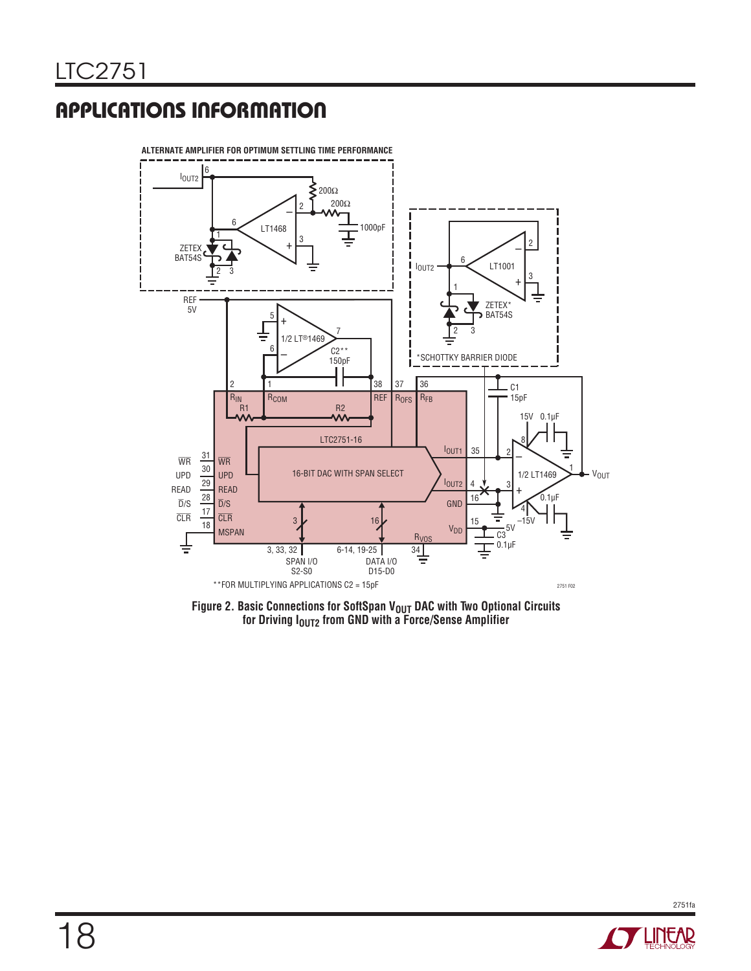# Applications Information



Figure 2. Basic Connections for SoftSpan V<sub>OUT</sub> DAC with Two Optional Circuits **for Driving IOUT2 from GND with a Force/Sense Amplifier**

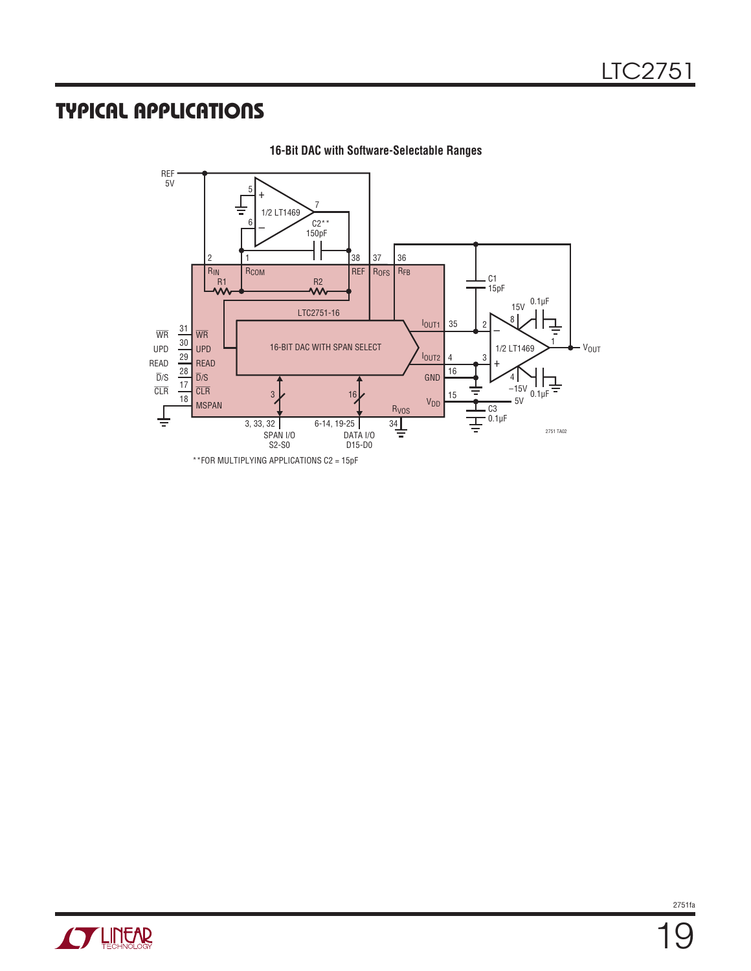## Typical Applications



**16-Bit DAC with Software-Selectable Ranges**

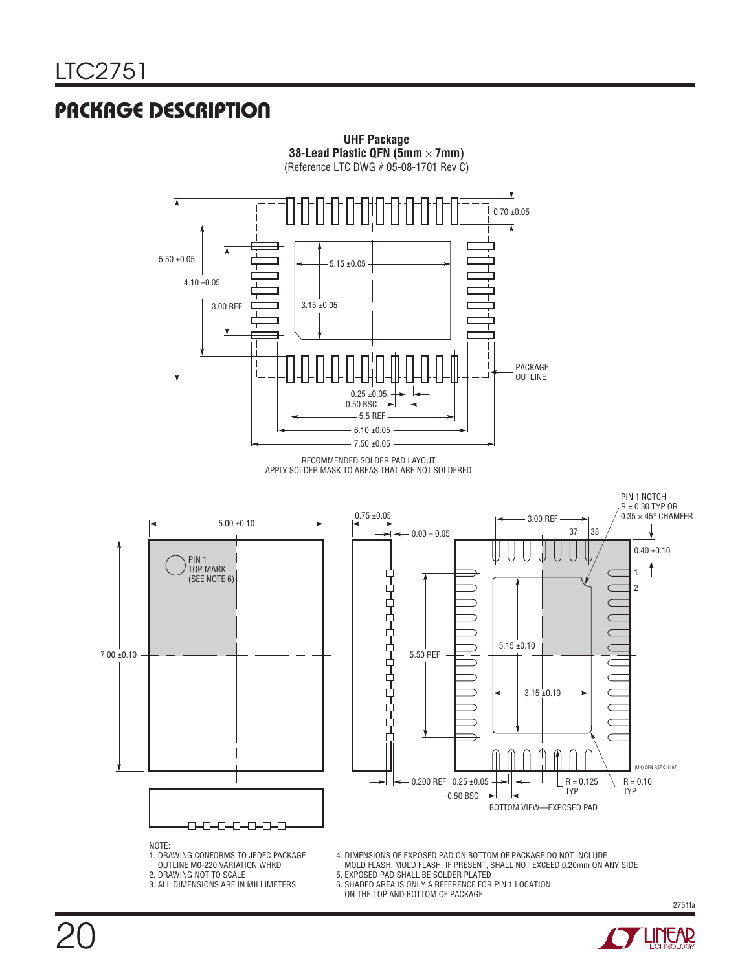### Package Description



- OUTLINE M0-220 VARIATION WHKD 2. DRAWING NOT TO SCALE
- 3. ALL DIMENSIONS ARE IN MILLIMETERS
- 5. EXPOSED PAD SHALL BE SOLDER PLATED
- 6. SHADED AREA IS ONLY A REFERENCE FOR PIN 1 LOCATION
- ON THE TOP AND BOTTOM OF PACKAGE



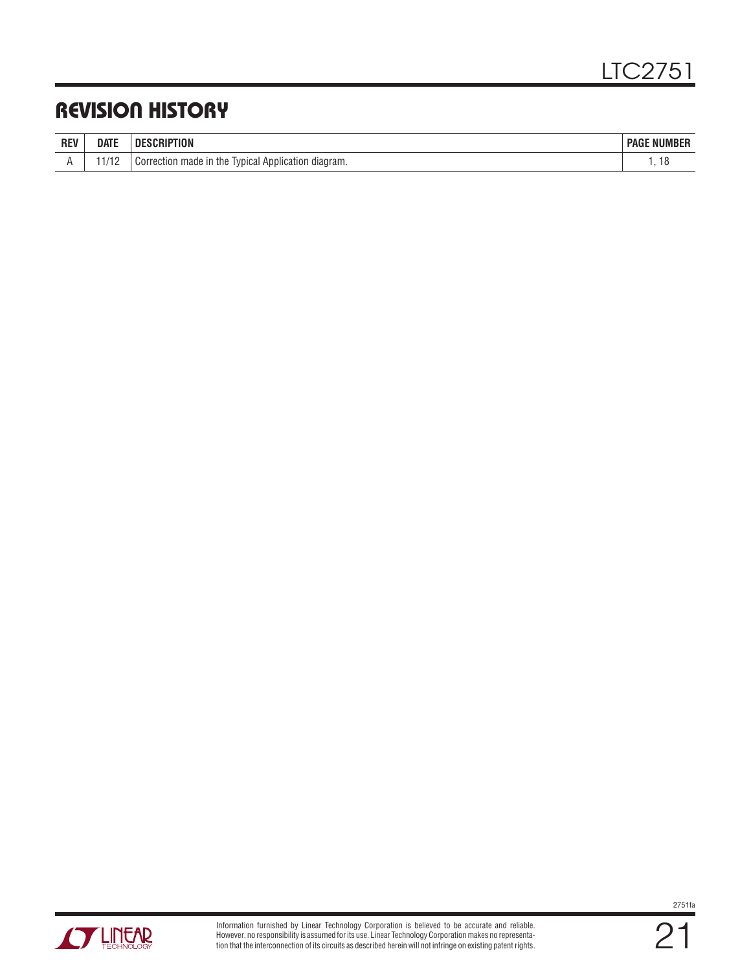### Revision History

| <b>REV</b> | date        | ПF<br>iiliun                                                | <b>NUMBER</b><br>Page |
|------------|-------------|-------------------------------------------------------------|-----------------------|
|            | 1100<br>ے ا | Iypical Application<br>Correction made in the<br>ı diadram. |                       |